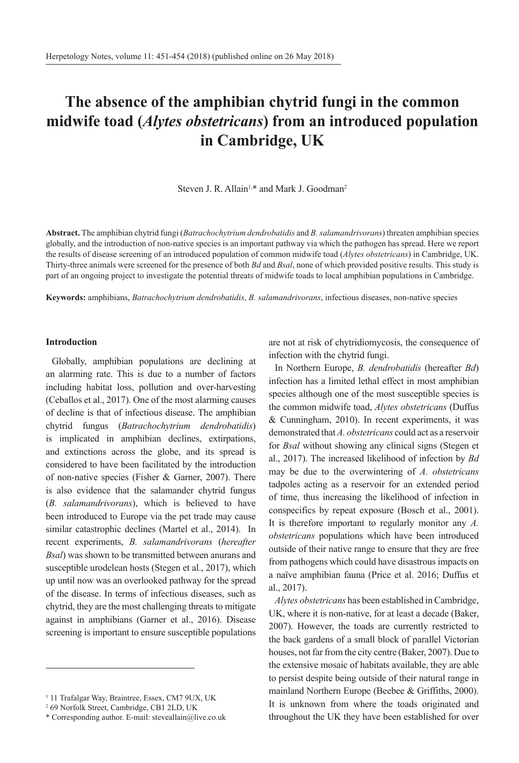# **The absence of the amphibian chytrid fungi in the common midwife toad (***Alytes obstetricans***) from an introduced population in Cambridge, UK**

Steven J. R. Allain<sup>1,\*</sup> and Mark J. Goodman<sup>2</sup>

**Abstract.** The amphibian chytrid fungi (*Batrachochytrium dendrobatidis* and *B. salamandrivorans*) threaten amphibian species globally, and the introduction of non-native species is an important pathway via which the pathogen has spread. Here we report the results of disease screening of an introduced population of common midwife toad (*Alytes obstetricans*) in Cambridge, UK. Thirty-three animals were screened for the presence of both *Bd* and *Bsal*, none of which provided positive results. This study is part of an ongoing project to investigate the potential threats of midwife toads to local amphibian populations in Cambridge.

**Keywords:** amphibians, *Batrachochytrium dendrobatidis*, *B. salamandrivorans*, infectious diseases, non-native species

### **Introduction**

Globally, amphibian populations are declining at an alarming rate. This is due to a number of factors including habitat loss, pollution and over-harvesting (Ceballos et al., 2017). One of the most alarming causes of decline is that of infectious disease. The amphibian chytrid fungus (*Batrachochytrium dendrobatidis*) is implicated in amphibian declines, extirpations, and extinctions across the globe, and its spread is considered to have been facilitated by the introduction of non-native species (Fisher & Garner, 2007). There is also evidence that the salamander chytrid fungus (*B. salamandrivorans*), which is believed to have been introduced to Europe via the pet trade may cause similar catastrophic declines (Martel et al., 2014). In recent experiments, *B. salamandrivorans* (*hereafter Bsal*) was shown to be transmitted between anurans and susceptible urodelean hosts (Stegen et al., 2017), which up until now was an overlooked pathway for the spread of the disease. In terms of infectious diseases, such as chytrid, they are the most challenging threats to mitigate against in amphibians (Garner et al., 2016). Disease screening is important to ensure susceptible populations

are not at risk of chytridiomycosis, the consequence of infection with the chytrid fungi.

In Northern Europe, *B. dendrobatidis* (hereafter *Bd*) infection has a limited lethal effect in most amphibian species although one of the most susceptible species is the common midwife toad, *Alytes obstetricans* (Duffus & Cunningham, 2010). In recent experiments, it was demonstrated that *A. obstetricans* could act as a reservoir for *Bsal* without showing any clinical signs (Stegen et al., 2017). The increased likelihood of infection by *Bd* may be due to the overwintering of *A. obstetricans* tadpoles acting as a reservoir for an extended period of time, thus increasing the likelihood of infection in conspecifics by repeat exposure (Bosch et al., 2001). It is therefore important to regularly monitor any *A. obstetricans* populations which have been introduced outside of their native range to ensure that they are free from pathogens which could have disastrous impacts on a naïve amphibian fauna (Price et al. 2016; Duffus et al., 2017).

*Alytes obstetricans* has been established in Cambridge, UK, where it is non-native, for at least a decade (Baker, 2007). However, the toads are currently restricted to the back gardens of a small block of parallel Victorian houses, not far from the city centre (Baker, 2007). Due to the extensive mosaic of habitats available, they are able to persist despite being outside of their natural range in mainland Northern Europe (Beebee & Griffiths, 2000). It is unknown from where the toads originated and throughout the UK they have been established for over

<sup>&</sup>lt;sup>1</sup> 11 Trafalgar Way, Braintree, Essex, CM7 9UX, UK

<sup>2</sup> 69 Norfolk Street, Cambridge, CB1 2LD, UK

<sup>\*</sup> Corresponding author. E-mail: steveallain@live.co.uk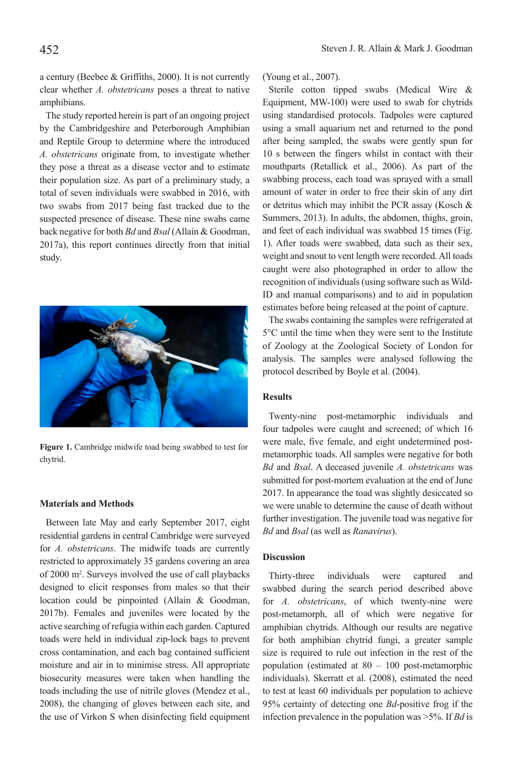a century (Beebee & Griffiths, 2000). It is not currently clear whether *A. obstetricans* poses a threat to native amphibians.

The study reported herein is part of an ongoing project by the Cambridgeshire and Peterborough Amphibian and Reptile Group to determine where the introduced *A. obstetricans* originate from, to investigate whether they pose a threat as a disease vector and to estimate their population size. As part of a preliminary study, a total of seven individuals were swabbed in 2016, with two swabs from 2017 being fast tracked due to the suspected presence of disease. These nine swabs came back negative for both *Bd* and *Bsal* (Allain & Goodman, 2017a), this report continues directly from that initial study.



**Figure 1.** Cambridge midwife toad being swabbed to test for chytrid.

#### **Materials and Methods**

Between late May and early September 2017, eight residential gardens in central Cambridge were surveyed for *A. obstetricans*. The midwife toads are currently restricted to approximately 35 gardens covering an area of 2000 m2 . Surveys involved the use of call playbacks designed to elicit responses from males so that their location could be pinpointed (Allain & Goodman, 2017b). Females and juveniles were located by the active searching of refugia within each garden. Captured toads were held in individual zip-lock bags to prevent cross contamination, and each bag contained sufficient moisture and air in to minimise stress. All appropriate biosecurity measures were taken when handling the toads including the use of nitrile gloves (Mendez et al., 2008), the changing of gloves between each site, and the use of Virkon S when disinfecting field equipment

(Young et al., 2007).

Sterile cotton tipped swabs (Medical Wire & Equipment, MW-100) were used to swab for chytrids using standardised protocols. Tadpoles were captured using a small aquarium net and returned to the pond after being sampled, the swabs were gently spun for 10 s between the fingers whilst in contact with their mouthparts (Retallick et al., 2006). As part of the swabbing process, each toad was sprayed with a small amount of water in order to free their skin of any dirt or detritus which may inhibit the PCR assay (Kosch & Summers, 2013). In adults, the abdomen, thighs, groin, and feet of each individual was swabbed 15 times (Fig. 1). After toads were swabbed, data such as their sex, weight and snout to vent length were recorded. All toads caught were also photographed in order to allow the recognition of individuals (using software such as Wild-ID and manual comparisons) and to aid in population estimates before being released at the point of capture.

The swabs containing the samples were refrigerated at 5°C until the time when they were sent to the Institute of Zoology at the Zoological Society of London for analysis. The samples were analysed following the protocol described by Boyle et al. (2004).

### **Results**

Twenty-nine post-metamorphic individuals and four tadpoles were caught and screened; of which 16 were male, five female, and eight undetermined postmetamorphic toads. All samples were negative for both *Bd* and *Bsal*. A deceased juvenile *A. obstetricans* was submitted for post-mortem evaluation at the end of June 2017. In appearance the toad was slightly desiccated so we were unable to determine the cause of death without further investigation. The juvenile toad was negative for *Bd* and *Bsal* (as well as *Ranavirus*).

## **Discussion**

Thirty-three individuals were captured and swabbed during the search period described above for *A. obstetricans*, of which twenty-nine were post-metamorph, all of which were negative for amphibian chytrids. Although our results are negative for both amphibian chytrid fungi, a greater sample size is required to rule out infection in the rest of the population (estimated at 80 – 100 post-metamorphic individuals). Skerratt et al. (2008), estimated the need to test at least 60 individuals per population to achieve 95% certainty of detecting one *Bd*-positive frog if the infection prevalence in the population was >5%. If *Bd* is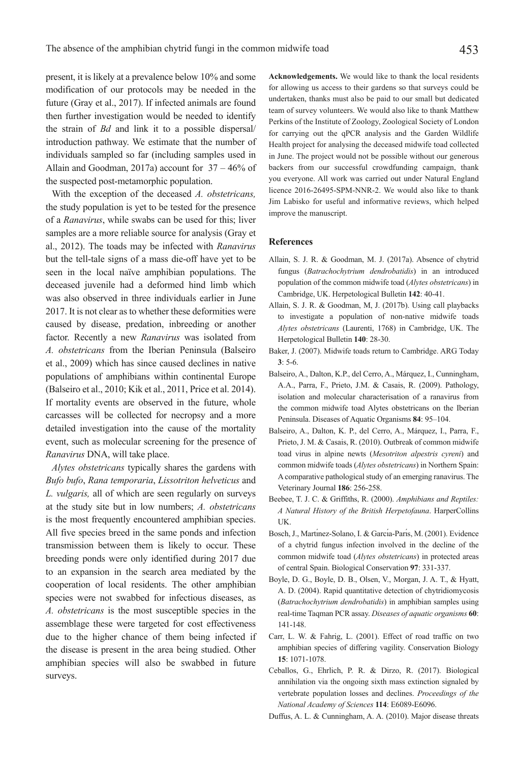present, it is likely at a prevalence below 10% and some modification of our protocols may be needed in the future (Gray et al., 2017). If infected animals are found then further investigation would be needed to identify the strain of *Bd* and link it to a possible dispersal/ introduction pathway. We estimate that the number of individuals sampled so far (including samples used in Allain and Goodman, 2017a) account for 37 – 46% of the suspected post-metamorphic population.

With the exception of the deceased *A. obstetricans,* the study population is yet to be tested for the presence of a *Ranavirus*, while swabs can be used for this; liver samples are a more reliable source for analysis (Gray et al., 2012). The toads may be infected with *Ranavirus*  but the tell-tale signs of a mass die-off have yet to be seen in the local naïve amphibian populations. The deceased juvenile had a deformed hind limb which was also observed in three individuals earlier in June 2017. It is not clear as to whether these deformities were caused by disease, predation, inbreeding or another factor. Recently a new *Ranavirus* was isolated from *A. obstetricans* from the Iberian Peninsula (Balseiro et al., 2009) which has since caused declines in native populations of amphibians within continental Europe (Balseiro et al., 2010; Kik et al., 2011, Price et al. 2014). If mortality events are observed in the future, whole carcasses will be collected for necropsy and a more detailed investigation into the cause of the mortality event, such as molecular screening for the presence of *Ranavirus* DNA, will take place.

*Alytes obstetricans* typically shares the gardens with *Bufo bufo*, *Rana temporaria*, *Lissotriton helveticus* and *L. vulgaris,* all of which are seen regularly on surveys at the study site but in low numbers; *A. obstetricans* is the most frequently encountered amphibian species. All five species breed in the same ponds and infection transmission between them is likely to occur. These breeding ponds were only identified during 2017 due to an expansion in the search area mediated by the cooperation of local residents. The other amphibian species were not swabbed for infectious diseases, as *A. obstetricans* is the most susceptible species in the assemblage these were targeted for cost effectiveness due to the higher chance of them being infected if the disease is present in the area being studied. Other amphibian species will also be swabbed in future surveys.

**Acknowledgements.** We would like to thank the local residents for allowing us access to their gardens so that surveys could be undertaken, thanks must also be paid to our small but dedicated team of survey volunteers. We would also like to thank Matthew Perkins of the Institute of Zoology, Zoological Society of London for carrying out the qPCR analysis and the Garden Wildlife Health project for analysing the deceased midwife toad collected in June. The project would not be possible without our generous backers from our successful crowdfunding campaign, thank you everyone. All work was carried out under Natural England licence 2016-26495-SPM-NNR-2. We would also like to thank Jim Labisko for useful and informative reviews, which helped improve the manuscript.

#### **References**

- Allain, S. J. R. & Goodman, M. J. (2017a). Absence of chytrid fungus (*Batrachochytrium dendrobatidis*) in an introduced population of the common midwife toad (*Alytes obstetricans*) in Cambridge, UK. Herpetological Bulletin **142**: 40-41.
- Allain, S. J. R. & Goodman, M, J. (2017b). Using call playbacks to investigate a population of non-native midwife toads *Alytes obstetricans* (Laurenti, 1768) in Cambridge, UK. The Herpetological Bulletin **140**: 28-30.
- Baker, J. (2007). Midwife toads return to Cambridge. ARG Today **3**: 5-6.
- Balseiro, A., Dalton, K.P., del Cerro, A., Márquez, I., Cunningham, A.A., Parra, F., Prieto, J.M. & Casais, R. (2009). Pathology, isolation and molecular characterisation of a ranavirus from the common midwife toad Alytes obstetricans on the Iberian Peninsula. Diseases of Aquatic Organisms **84**: 95–104.
- Balseiro, A., Dalton, K. P., del Cerro, A., Márquez, I., Parra, F., Prieto, J. M. & Casais, R. (2010). Outbreak of common midwife toad virus in alpine newts (*Mesotriton alpestris cyreni*) and common midwife toads (*Alytes obstetricans*) in Northern Spain: A comparative pathological study of an emerging ranavirus. The Veterinary Journal **186**: 256-258.
- Beebee, T. J. C. & Griffiths, R. (2000). *Amphibians and Reptiles: A Natural History of the British Herpetofauna*. HarperCollins UK.
- Bosch, J., Martı́nez-Solano, I. & Garcı́a-Parı́s, M. (2001). Evidence of a chytrid fungus infection involved in the decline of the common midwife toad (*Alytes obstetricans*) in protected areas of central Spain. Biological Conservation **97**: 331-337.
- Boyle, D. G., Boyle, D. B., Olsen, V., Morgan, J. A. T., & Hyatt, A. D. (2004). Rapid quantitative detection of chytridiomycosis (*Batrachochytrium dendrobatidis*) in amphibian samples using real-time Taqman PCR assay. *Diseases of aquatic organisms* **60**: 141-148.
- Carr, L. W. & Fahrig, L. (2001). Effect of road traffic on two amphibian species of differing vagility. Conservation Biology **15**: 1071-1078.
- Ceballos, G., Ehrlich, P. R. & Dirzo, R. (2017). Biological annihilation via the ongoing sixth mass extinction signaled by vertebrate population losses and declines. *Proceedings of the National Academy of Sciences* **114**: E6089-E6096.
- Duffus, A. L. & Cunningham, A. A. (2010). Major disease threats